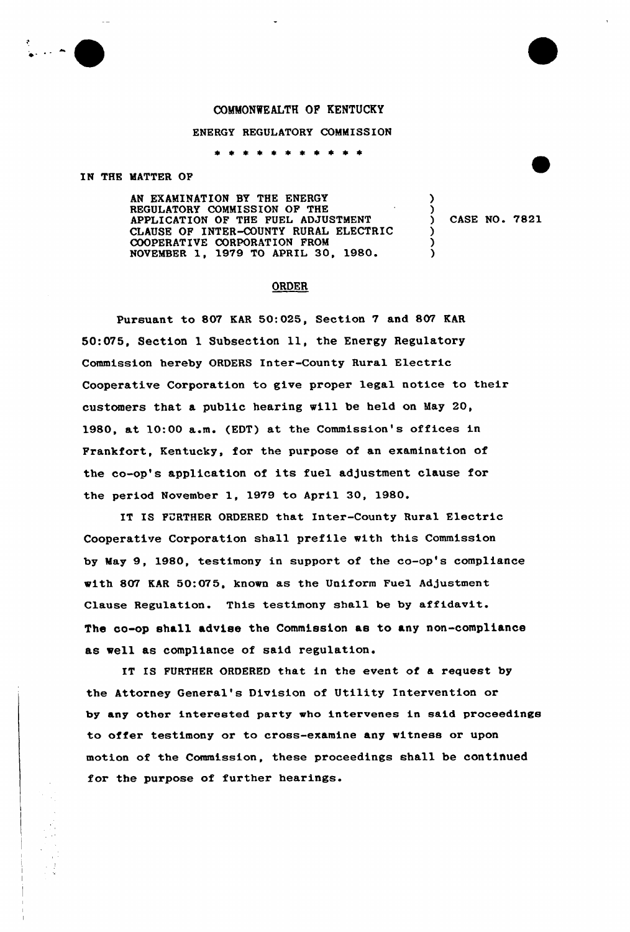## COMMONWEALTH OF KENTUCKY

## ENERGY REGULATORY COMMISSION

\* \* \* \* \* \* \* \*

IN THE MATTER OF

AN EXAMINATION SY THE ENERGY REGULATORY COMMISSION OF THE APPLICATION OF THE FUEL ADJUSTMENT CLAUSE OF INTER-COUNTY RURAL ELECTRIC COOPERATIVE CORPORATION FROM<br>NOVEMBER 1, 1979 TO APRIL 30, 1980.

CASE NO. 7821

)

) ) )

## **ORDER**

Pursuant to 807 KAR 50:025, Section 7 and 807 KAR 50:075, Section l Subsection ll, the Energy Regulatory Commission hereby ORDERS Inter-County Rural Electric Cooperative Corporation to give proper legal notice to their customers that a public hearing will be held on May 20, 1980, at 10:00 a.m. (EDT) at the Commission's offices in Frankfort, Kentucky, for the purpose of an examination of the co-op's application of its fuel adjustment clause for the period November 1, 1979 to April 30, 1980.

IT IS FURTHER ORDERED that Inter-County Rural Electric Cooperative Corporation shall prefile with this Commission by May 9, 1980, testimony in support of the co-op's compliance with 807 KAR 50:075, known as the Uniform Fuel Adjustment Clause Regulation. This testimony sha11 be by affidavit. The oo-op shall advise the Commission as to any non-compliance as well as compliance of said regulation.

IT IS FURTHER ORDERED that in the event of a request by the Attorney General's Division of Utility Intervention or by any other interested party who intervenes in said proceedings to offer testimony or to crass-examine any witness or upon motion of the Commission, these proceedings shall be continued for the purpose of further hearings.